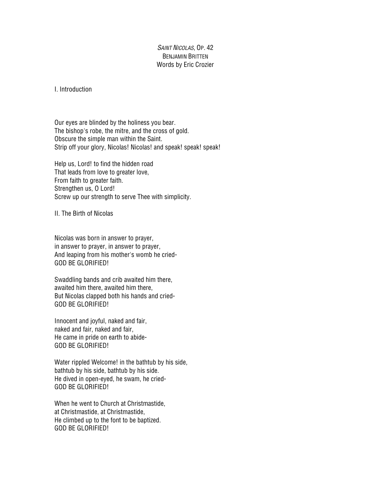## SAINT NICOLAS, OP. 42 BENJAMIN BRITTEN Words by Eric Crozier

I. Introduction

Our eyes are blinded by the holiness you bear. The bishop's robe, the mitre, and the cross of gold. Obscure the simple man within the Saint. Strip off your glory, Nicolas! Nicolas! and speak! speak! speak!

Help us, Lord! to find the hidden road That leads from love to greater love, From faith to greater faith. Strengthen us, O Lord! Screw up our strength to serve Thee with simplicity.

II. The Birth of Nicolas

Nicolas was born in answer to prayer, in answer to prayer, in answer to prayer, And leaping from his mother's womb he cried-GOD BE GLORIFIED!

Swaddling bands and crib awaited him there, awaited him there, awaited him there, But Nicolas clapped both his hands and cried-GOD BE GLORIFIED!

Innocent and joyful, naked and fair, naked and fair, naked and fair, He came in pride on earth to abide-GOD BE GLORIFIED!

Water rippled Welcome! in the bathtub by his side, bathtub by his side, bathtub by his side. He dived in open-eyed, he swam, he cried-GOD BE GLORIFIED!

When he went to Church at Christmastide, at Christmastide, at Christmastide, He climbed up to the font to be baptized. GOD BE GLORIFIED!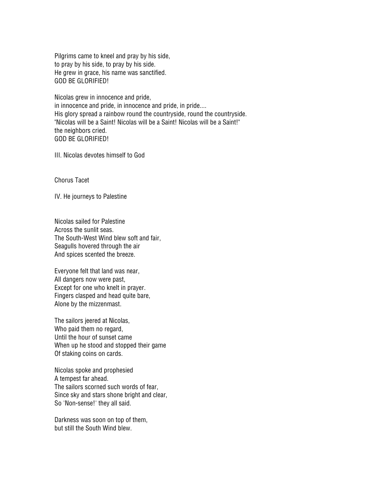Pilgrims came to kneel and pray by his side, to pray by his side, to pray by his side. He grew in grace, his name was sanctified. GOD BE GLORIFIED!

Nicolas grew in innocence and pride, in innocence and pride, in innocence and pride, in pride.... His glory spread a rainbow round the countryside, round the countryside. "Nicolas will be a Saint! Nicolas will be a Saint! Nicolas will be a Saint!" the neighbors cried. GOD BE GLORIFIED!

III. Nicolas devotes himself to God

Chorus Tacet

IV. He journeys to Palestine

Nicolas sailed for Palestine Across the sunlit seas. The South-West Wind blew soft and fair, Seagulls hovered through the air And spices scented the breeze.

Everyone felt that land was near, All dangers now were past, Except for one who knelt in prayer. Fingers clasped and head quite bare, Alone by the mizzenmast.

The sailors jeered at Nicolas, Who paid them no regard, Until the hour of sunset came When up he stood and stopped their game Of staking coins on cards.

Nicolas spoke and prophesied A tempest far ahead. The sailors scorned such words of fear, Since sky and stars shone bright and clear, So 'Non-sense!' they all said.

Darkness was soon on top of them, but still the South Wind blew.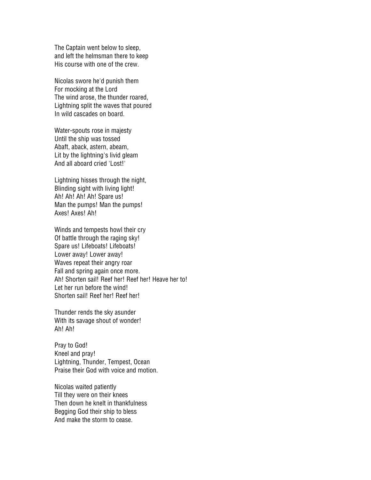The Captain went below to sleep, and left the helmsman there to keep His course with one of the crew.

Nicolas swore he'd punish them For mocking at the Lord The wind arose, the thunder roared, Lightning split the waves that poured In wild cascades on board.

Water-spouts rose in majesty Until the ship was tossed Abaft, aback, astern, abeam, Lit by the lightning's livid gleam And all aboard cried 'Lost!'

Lightning hisses through the night, Blinding sight with living light! Ah! Ah! Ah! Ah! Spare us! Man the pumps! Man the pumps! Axes! Axes! Ah!

Winds and tempests howl their cry Of battle through the raging sky! Spare us! Lifeboats! Lifeboats! Lower away! Lower away! Waves repeat their angry roar Fall and spring again once more. Ah! Shorten sail! Reef her! Reef her! Heave her to! Let her run before the wind! Shorten sail! Reef her! Reef her!

Thunder rends the sky asunder With its savage shout of wonder! Ah! Ah!

Pray to God! Kneel and pray! Lightning, Thunder, Tempest, Ocean Praise their God with voice and motion.

Nicolas waited patiently Till they were on their knees Then down he knelt in thankfulness Begging God their ship to bless And make the storm to cease.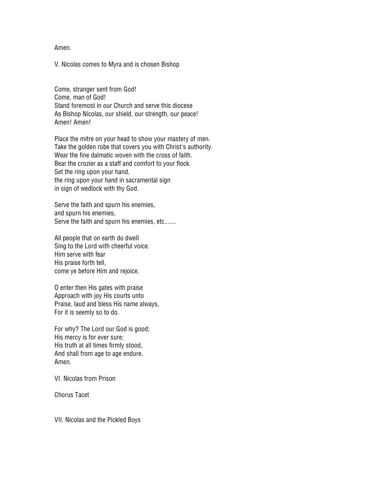Amen.

V. Nicolas comes to Myra and is chosen Bishop

Come, stranger sent from God! Come, man of God! Stand foremost in our Church and serve this diocese As Bishop Nicolas, our shield, our strength, our peace! Amen! Amen!

Place the mitre on your head to show your mastery of men. Take the golden robe that covers you with Christ's authority. Wear the fine dalmatic woven with the cross of faith. Bear the crozier as a staff and comfort to your flock. Set the ring upon your hand, the ring upon your hand in sacramental sign in sign of wedlock with thy God.

Serve the faith and spurn his enemies, and spurn his enemies, Serve the faith and spurn his enemies, etc.......

All people that on earth do dwell Sing to the Lord with cheerful voice. Him serve with fear His praise forth tell, come ye before Him and rejoice.

O enter then His gates with praise Approach with joy His courts unto Praise, laud and bless His name always, For it is seemly so to do.

For why? The Lord our God is good; His mercy is for ever sure; His truth at all times firmly stood, And shall from age to age endure. Amen.

VI. Nicolas from Prison

Chorus Tacet

VII. Nicolas and the Pickled Boys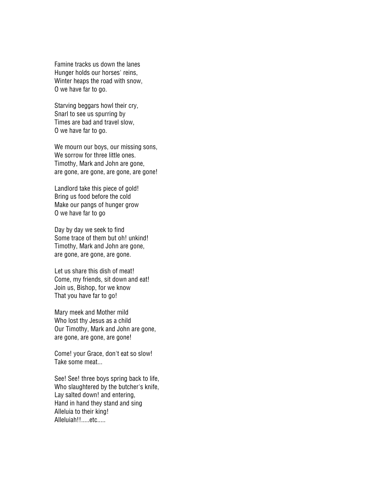Famine tracks us down the lanes Hunger holds our horses' reins, Winter heaps the road with snow, O we have far to go.

Starving beggars howl their cry, Snarl to see us spurring by Times are bad and travel slow, O we have far to go.

We mourn our boys, our missing sons, We sorrow for three little ones. Timothy, Mark and John are gone, are gone, are gone, are gone, are gone!

Landlord take this piece of gold! Bring us food before the cold Make our pangs of hunger grow O we have far to go

Day by day we seek to find Some trace of them but oh! unkind! Timothy, Mark and John are gone, are gone, are gone, are gone.

Let us share this dish of meat! Come, my friends, sit down and eat! Join us, Bishop, for we know That you have far to go!

Mary meek and Mother mild Who lost thy Jesus as a child Our Timothy, Mark and John are gone, are gone, are gone, are gone!

Come! your Grace, don't eat so slow! Take some meat...

See! See! three boys spring back to life, Who slaughtered by the butcher's knife, Lay salted down! and entering, Hand in hand they stand and sing Alleluia to their king! Alleluiah!!.....etc.....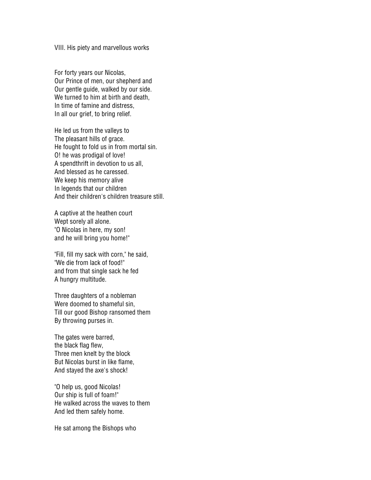VIII. His piety and marvellous works

For forty years our Nicolas, Our Prince of men, our shepherd and Our gentle guide, walked by our side. We turned to him at birth and death, In time of famine and distress, In all our grief, to bring relief.

He led us from the valleys to The pleasant hills of grace. He fought to fold us in from mortal sin. O! he was prodigal of love! A spendthrift in devotion to us all, And blessed as he caressed. We keep his memory alive In legends that our children And their children's children treasure still.

A captive at the heathen court Wept sorely all alone. "O Nicolas in here, my son! and he will bring you home!"

"Fill, fill my sack with corn," he said, "We die from lack of food!" and from that single sack he fed A hungry multitude.

Three daughters of a nobleman Were doomed to shameful sin, Till our good Bishop ransomed them By throwing purses in.

The gates were barred, the black flag flew, Three men knelt by the block But Nicolas burst in like flame, And stayed the axe's shock!

"O help us, good Nicolas! Our ship is full of foam!" He walked across the waves to them And led them safely home.

He sat among the Bishops who